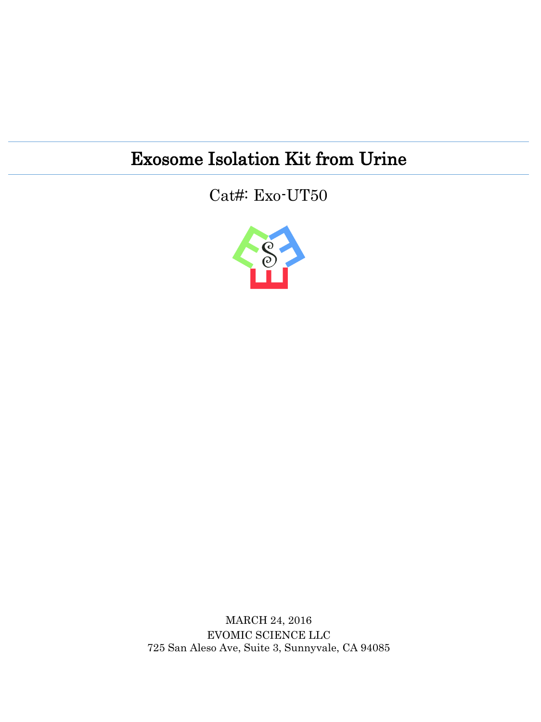## Exosome Isolation Kit from Urine

Cat#: Exo-UT50



MARCH 24, 2016 EVOMIC SCIENCE LLC 725 San Aleso Ave, Suite 3, Sunnyvale, CA 94085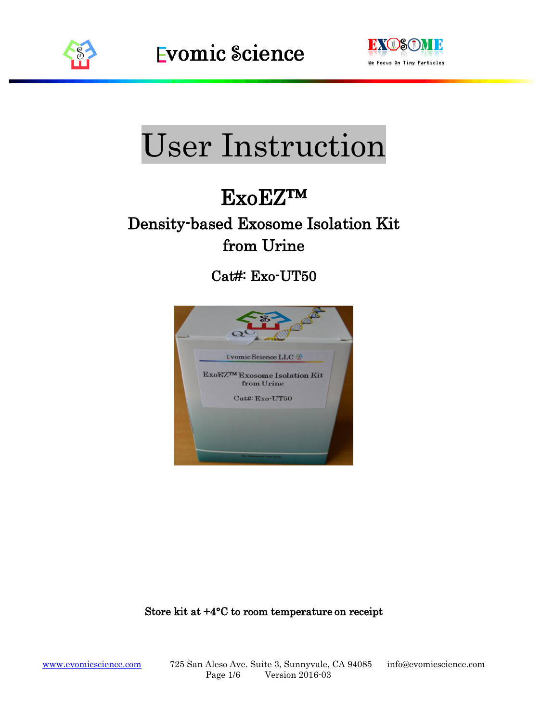



# User Instruction

## ExoEZ™

## Density-based Exosome Isolation Kit from Urine

Cat#: Exo-UT50



#### Store kit at +4°C to room temperature on receipt

[www.evomicscience.com](http://www.evomicscience.com/) 725 San Aleso Ave. Suite 3, Sunnyvale, CA 94085 info@evomicscience.com Page 1/6 Version 2016-03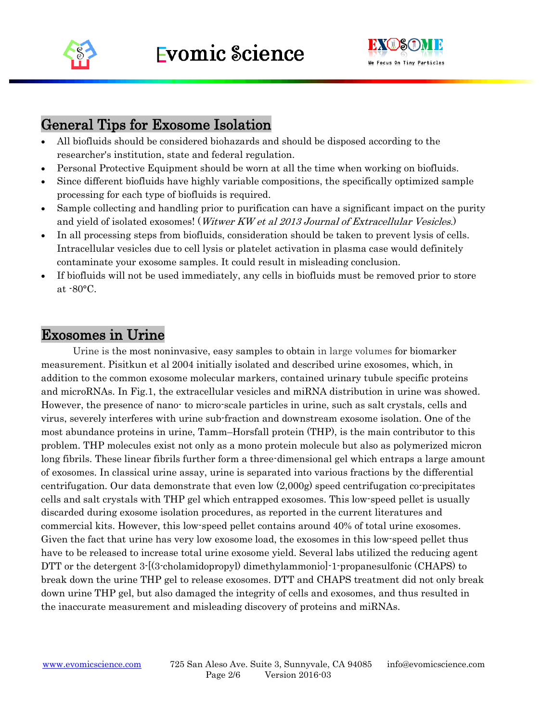



#### General Tips for Exosome Isolation

- All biofluids should be considered biohazards and should be disposed according to the researcher's institution, state and federal regulation.
- Personal Protective Equipment should be worn at all the time when working on biofluids.
- Since different biofluids have highly variable compositions, the specifically optimized sample processing for each type of biofluids is required.
- Sample collecting and handling prior to purification can have a significant impact on the purity and yield of isolated exosomes! (Witwer KW et al 2013 Journal of Extracellular Vesicles.)
- In all processing steps from biofluids, consideration should be taken to prevent lysis of cells. Intracellular vesicles due to cell lysis or platelet activation in plasma case would definitely contaminate your exosome samples. It could result in misleading conclusion.
- If biofluids will not be used immediately, any cells in biofluids must be removed prior to store at -80°C.

#### Exosomes in Urine

Urine is the most noninvasive, easy samples to obtain in large volumes for biomarker measurement. Pisitkun et al 2004 initially isolated and described urine exosomes, which, in addition to the common exosome molecular markers, contained urinary tubule specific proteins and microRNAs. In Fig.1, the extracellular vesicles and miRNA distribution in urine was showed. However, the presence of nano- to micro-scale particles in urine, such as salt crystals, cells and virus, severely interferes with urine sub-fraction and downstream exosome isolation. One of the most abundance proteins in urine, Tamm–Horsfall protein (THP), is the main contributor to this problem. THP molecules exist not only as a mono protein molecule but also as polymerized micron long fibrils. These linear fibrils further form a three-dimensional gel which entraps a large amount of exosomes. In classical urine assay, urine is separated into various fractions by the differential centrifugation. Our data demonstrate that even low (2,000g) speed centrifugation co-precipitates cells and salt crystals with THP gel which entrapped exosomes. This low-speed pellet is usually discarded during exosome isolation procedures, as reported in the current literatures and commercial kits. However, this low-speed pellet contains around 40% of total urine exosomes. Given the fact that urine has very low exosome load, the exosomes in this low-speed pellet thus have to be released to increase total urine exosome yield. Several labs utilized the reducing agent DTT or the detergent 3-[(3-cholamidopropyl) dimethylammonio]-1-propanesulfonic (CHAPS) to break down the urine THP gel to release exosomes. DTT and CHAPS treatment did not only break down urine THP gel, but also damaged the integrity of cells and exosomes, and thus resulted in the inaccurate measurement and misleading discovery of proteins and miRNAs.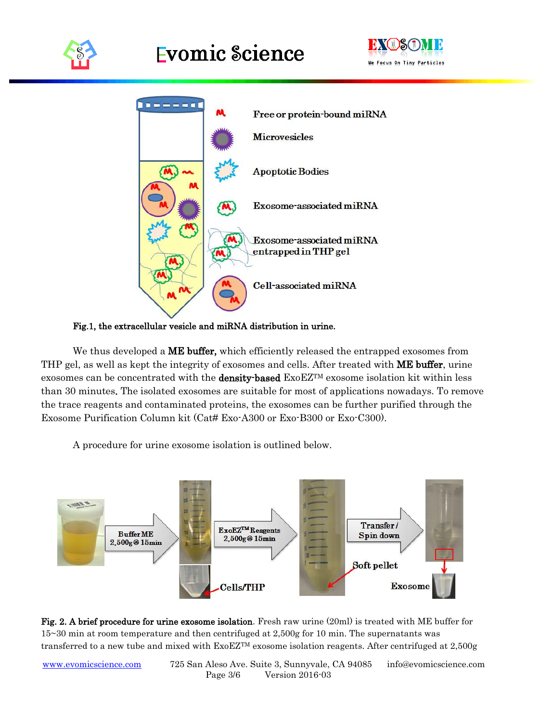





Fig.1, the extracellular vesicle and miRNA distribution in urine.

We thus developed a **ME buffer**, which efficiently released the entrapped exosomes from THP gel, as well as kept the integrity of exosomes and cells. After treated with ME buffer, urine exosomes can be concentrated with the **density-based**  $ExoEZ^{TM}$  exosome isolation kit within less than 30 minutes. The isolated exosomes are suitable for most of applications nowadays. To remove the trace reagents and contaminated proteins, the exosomes can be further purified through the Exosome Purification Column kit (Cat# Exo-A300 or Exo-B300 or Exo-C300).

A procedure for urine exosome isolation is outlined below.

![](_page_3_Figure_7.jpeg)

Fig. 2. A brief procedure for urine exosome isolation. Fresh raw urine (20ml) is treated with ME buffer for 15~30 min at room temperature and then centrifuged at 2,500g for 10 min. The supernatants was transferred to a new tube and mixed with ExoEZTM exosome isolation reagents. After centrifuged at 2,500g

[www.evomicscience.com](http://www.evomicscience.com/) 725 San Aleso Ave. Suite 3, Sunnyvale, CA 94085 info@evomicscience.com Page 3/6 Version 2016-03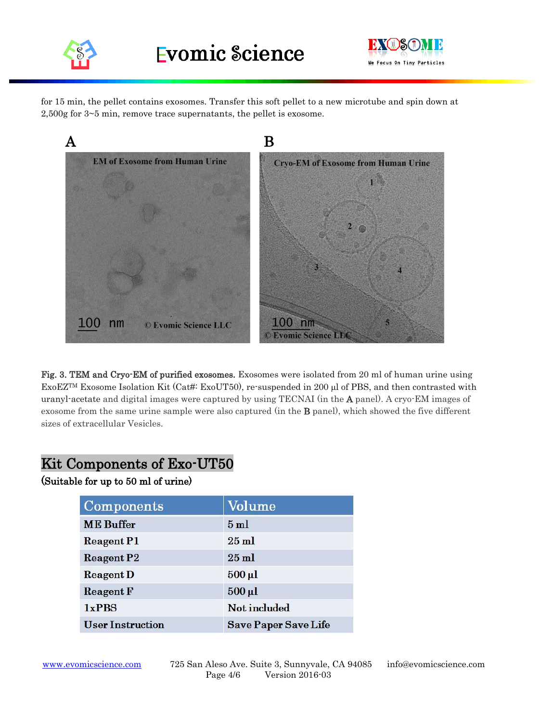![](_page_4_Picture_0.jpeg)

![](_page_4_Picture_2.jpeg)

for 15 min, the pellet contains exosomes. Transfer this soft pellet to a new microtube and spin down at 2,500g for 3~5 min, remove trace supernatants, the pellet is exosome.

![](_page_4_Picture_4.jpeg)

Fig. 3. TEM and Cryo-EM of purified exosomes. Exosomes were isolated from 20 ml of human urine using ExoEZTM Exosome Isolation Kit (Cat#: ExoUT50), re-suspended in 200 µl of PBS, and then contrasted with uranyl-acetate and digital images were captured by using TECNAI (in the A panel). A cryo-EM images of exosome from the same urine sample were also captured (in the B panel), which showed the five different sizes of extracellular Vesicles.

### Kit Components of Exo-UT50

#### (Suitable for up to 50 ml of urine)

| Components              | Volume                      |
|-------------------------|-----------------------------|
| <b>ME</b> Buffer        | 5ml                         |
| <b>Reagent P1</b>       | $25$ ml                     |
| Reagent P2              | $25$ ml                     |
| <b>Reagent D</b>        | $500 \mu l$                 |
| <b>Reagent F</b>        | $500 \mu l$                 |
| 1xPBS                   | Not included                |
| <b>User Instruction</b> | <b>Save Paper Save Life</b> |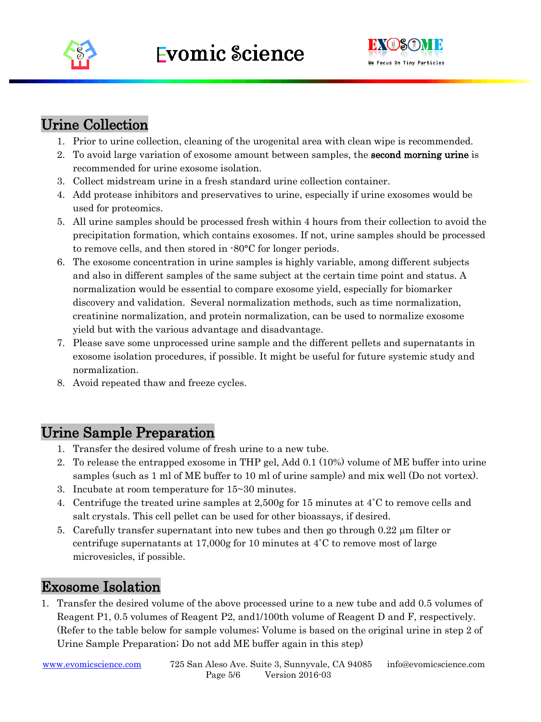![](_page_5_Picture_0.jpeg)

![](_page_5_Picture_2.jpeg)

## Urine Collection

- 1. Prior to urine collection, cleaning of the urogenital area with clean wipe is recommended.
- 2. To avoid large variation of exosome amount between samples, the **second morning urine** is recommended for urine exosome isolation.
- 3. Collect midstream urine in a fresh standard urine collection container.
- 4. Add protease inhibitors and preservatives to urine, especially if urine exosomes would be used for proteomics.
- 5. All urine samples should be processed fresh within 4 hours from their collection to avoid the precipitation formation, which contains exosomes. If not, urine samples should be processed to remove cells, and then stored in -80°C for longer periods.
- 6. The exosome concentration in urine samples is highly variable, among different subjects and also in different samples of the same subject at the certain time point and status. A normalization would be essential to compare exosome yield, especially for biomarker discovery and validation. Several normalization methods, such as time normalization, creatinine normalization, and protein normalization, can be used to normalize exosome yield but with the various advantage and disadvantage.
- 7. Please save some unprocessed urine sample and the different pellets and supernatants in exosome isolation procedures, if possible. It might be useful for future systemic study and normalization.
- 8. Avoid repeated thaw and freeze cycles.

### Urine Sample Preparation

- 1. Transfer the desired volume of fresh urine to a new tube.
- 2. To release the entrapped exosome in THP gel, Add 0.1 (10%) volume of ME buffer into urine samples (such as 1 ml of ME buffer to 10 ml of urine sample) and mix well (Do not vortex).
- 3. Incubate at room temperature for 15~30 minutes.
- 4. Centrifuge the treated urine samples at 2,500g for 15 minutes at 4˚C to remove cells and salt crystals. This cell pellet can be used for other bioassays, if desired.
- 5. Carefully transfer supernatant into new tubes and then go through  $0.22 \mu m$  filter or centrifuge supernatants at 17,000g for 10 minutes at  $4^{\circ}$ C to remove most of large microvesicles, if possible.

#### Exosome Isolation

1. Transfer the desired volume of the above processed urine to a new tube and add 0.5 volumes of Reagent P1, 0.5 volumes of Reagent P2, and1/100th volume of Reagent D and F, respectively. (Refer to the table below for sample volumes; Volume is based on the original urine in step 2 of Urine Sample Preparation; Do not add ME buffer again in this step)